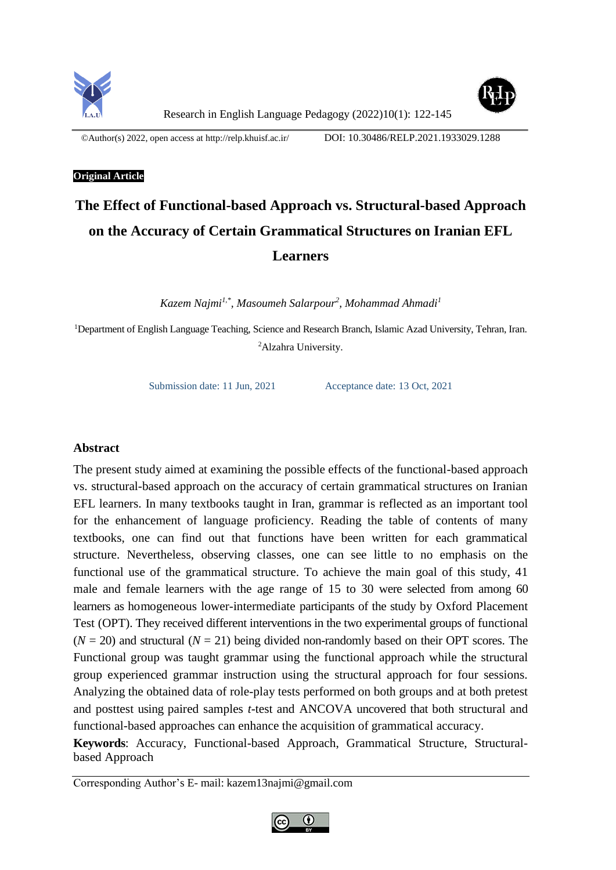



Research in English Language Pedagogy (2022)10(1): 122-145

©Author(s) 2022, open access a[t http://relp.khuisf.ac.ir/](http://relp.khuisf.ac.ir/) DOI: 10.30486/RELP.2021.1933029.1288

# **Original Article**

# **The Effect of Functional-based Approach vs. Structural-based Approach on the Accuracy of Certain Grammatical Structures on Iranian EFL Learners**

*Kazem Najmi1,\* , Masoumeh Salarpour<sup>2</sup> , Mohammad Ahmadi<sup>1</sup>*

<sup>1</sup>Department of English Language Teaching, Science and Research Branch, Islamic Azad University, Tehran, Iran. <sup>2</sup>Alzahra University.

Submission date: 11 Jun, 2021 Acceptance date: 13 Oct, 2021

# **Abstract**

The present study aimed at examining the possible effects of the functional-based approach vs. structural-based approach on the accuracy of certain grammatical structures on Iranian EFL learners. In many textbooks taught in Iran, grammar is reflected as an important tool for the enhancement of language proficiency. Reading the table of contents of many textbooks, one can find out that functions have been written for each grammatical structure. Nevertheless, observing classes, one can see little to no emphasis on the functional use of the grammatical structure. To achieve the main goal of this study, 41 male and female learners with the age range of 15 to 30 were selected from among 60 learners as homogeneous lower-intermediate participants of the study by Oxford Placement Test (OPT). They received different interventions in the two experimental groups of functional  $(N = 20)$  and structural  $(N = 21)$  being divided non-randomly based on their OPT scores. The Functional group was taught grammar using the functional approach while the structural group experienced grammar instruction using the structural approach for four sessions. Analyzing the obtained data of role-play tests performed on both groups and at both pretest and posttest using paired samples *t*-test and ANCOVA uncovered that both structural and functional-based approaches can enhance the acquisition of grammatical accuracy.

**Keywords**: Accuracy, Functional-based Approach, Grammatical Structure, Structuralbased Approach

Corresponding Author's E- mail: kazem13najmi@gmail.com

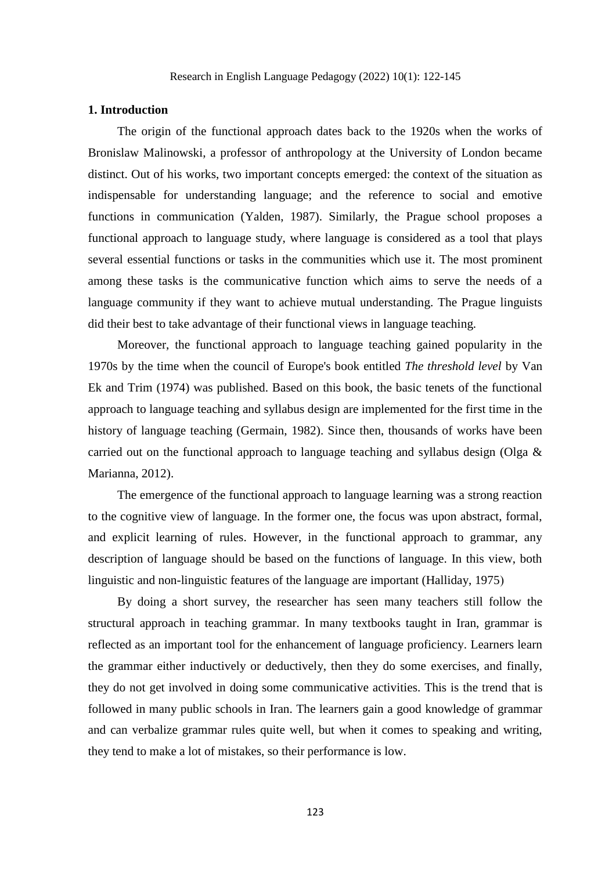# **1. Introduction**

The origin of the functional approach dates back to the 1920s when the works of Bronislaw Malinowski, a professor of anthropology at the University of London became distinct. Out of his works, two important concepts emerged: the context of the situation as indispensable for understanding language; and the reference to social and emotive functions in communication (Yalden, 1987). Similarly, the Prague school proposes a functional approach to language study, where language is considered as a tool that plays several essential functions or tasks in the communities which use it. The most prominent among these tasks is the communicative function which aims to serve the needs of a language community if they want to achieve mutual understanding. The Prague linguists did their best to take advantage of their functional views in language teaching.

Moreover, the functional approach to language teaching gained popularity in the 1970s by the time when the council of Europe's book entitled *The threshold level* by Van Ek and Trim (1974) was published. Based on this book, the basic tenets of the functional approach to language teaching and syllabus design are implemented for the first time in the history of language teaching (Germain, 1982). Since then, thousands of works have been carried out on the functional approach to language teaching and syllabus design (Olga  $\&$ Marianna, 2012).

The emergence of the functional approach to language learning was a strong reaction to the cognitive view of language. In the former one, the focus was upon abstract, formal, and explicit learning of rules. However, in the functional approach to grammar, any description of language should be based on the functions of language. In this view, both linguistic and non-linguistic features of the language are important (Halliday,  $1975$ )

By doing a short survey, the researcher has seen many teachers still follow the structural approach in teaching grammar. In many textbooks taught in Iran, grammar is reflected as an important tool for the enhancement of language proficiency. Learners learn the grammar either inductively or deductively, then they do some exercises, and finally, they do not get involved in doing some communicative activities. This is the trend that is followed in many public schools in Iran. The learners gain a good knowledge of grammar and can verbalize grammar rules quite well, but when it comes to speaking and writing, they tend to make a lot of mistakes, so their performance is low.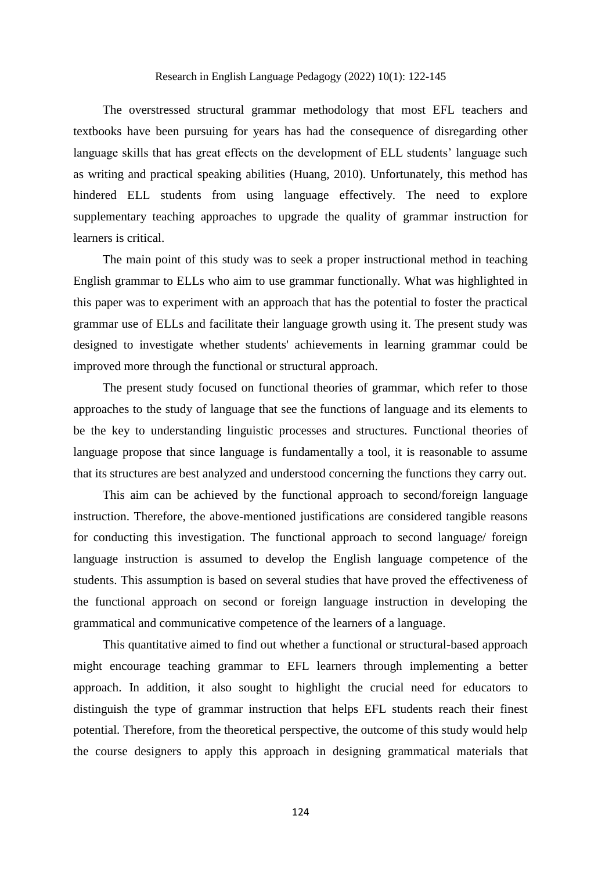# Research in English Language Pedagogy (2022) 10(1): 122-145

The overstressed structural grammar methodology that most EFL teachers and textbooks have been pursuing for years has had the consequence of disregarding other language skills that has great effects on the development of ELL students' language such as writing and practical speaking abilities (Huang, 2010). Unfortunately, this method has hindered ELL students from using language effectively. The need to explore supplementary teaching approaches to upgrade the quality of grammar instruction for learners is critical.

The main point of this study was to seek a proper instructional method in teaching English grammar to ELLs who aim to use grammar functionally. What was highlighted in this paper was to experiment with an approach that has the potential to foster the practical grammar use of ELLs and facilitate their language growth using it. The present study was designed to investigate whether students' achievements in learning grammar could be improved more through the functional or structural approach.

The present study focused on functional theories of grammar, which refer to those approaches to the study of language that see the functions of language and its elements to be the key to understanding linguistic processes and structures. Functional theories of language propose that since language is fundamentally a tool, it is reasonable to assume that its structures are best analyzed and understood concerning the functions they carry out.

This aim can be achieved by the functional approach to second/foreign language instruction. Therefore, the above-mentioned justifications are considered tangible reasons for conducting this investigation. The functional approach to second language/ foreign language instruction is assumed to develop the English language competence of the students. This assumption is based on several studies that have proved the effectiveness of the functional approach on second or foreign language instruction in developing the grammatical and communicative competence of the learners of a language.

This quantitative aimed to find out whether a functional or structural-based approach might encourage teaching grammar to EFL learners through implementing a better approach. In addition, it also sought to highlight the crucial need for educators to distinguish the type of grammar instruction that helps EFL students reach their finest potential. Therefore, from the theoretical perspective, the outcome of this study would help the course designers to apply this approach in designing grammatical materials that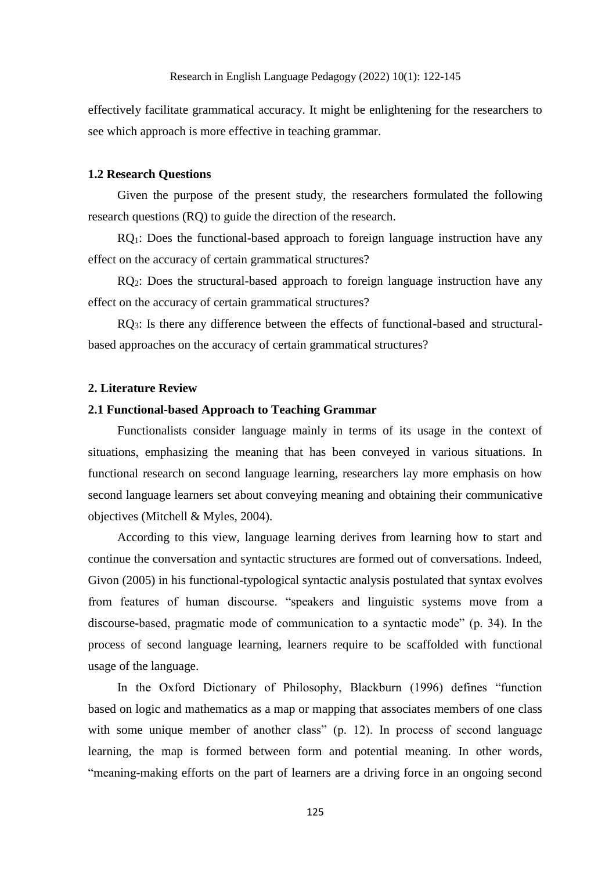effectively facilitate grammatical accuracy. It might be enlightening for the researchers to see which approach is more effective in teaching grammar.

# **1.2 Research Questions**

Given the purpose of the present study, the researchers formulated the following research questions (RQ) to guide the direction of the research.

RQ1: Does the functional-based approach to foreign language instruction have any effect on the accuracy of certain grammatical structures?

RQ<sub>2</sub>: Does the structural-based approach to foreign language instruction have any effect on the accuracy of certain grammatical structures?

RQ3: Is there any difference between the effects of functional-based and structuralbased approaches on the accuracy of certain grammatical structures?

# **2. Literature Review**

# **2.1 Functional-based Approach to Teaching Grammar**

Functionalists consider language mainly in terms of its usage in the context of situations, emphasizing the meaning that has been conveyed in various situations. In functional research on second language learning, researchers lay more emphasis on how second language learners set about conveying meaning and obtaining their communicative objectives (Mitchell & Myles, 2004).

According to this view, language learning derives from learning how to start and continue the conversation and syntactic structures are formed out of conversations. Indeed, Givon (2005) in his functional-typological syntactic analysis postulated that syntax evolves from features of human discourse. "speakers and linguistic systems move from a discourse-based, pragmatic mode of communication to a syntactic mode" (p. 34). In the process of second language learning, learners require to be scaffolded with functional usage of the language.

In the Oxford Dictionary of Philosophy, Blackburn (1996) defines "function based on logic and mathematics as a map or mapping that associates members of one class with some unique member of another class" (p. 12). In process of second language learning, the map is formed between form and potential meaning. In other words, "meaning-making efforts on the part of learners are a driving force in an ongoing second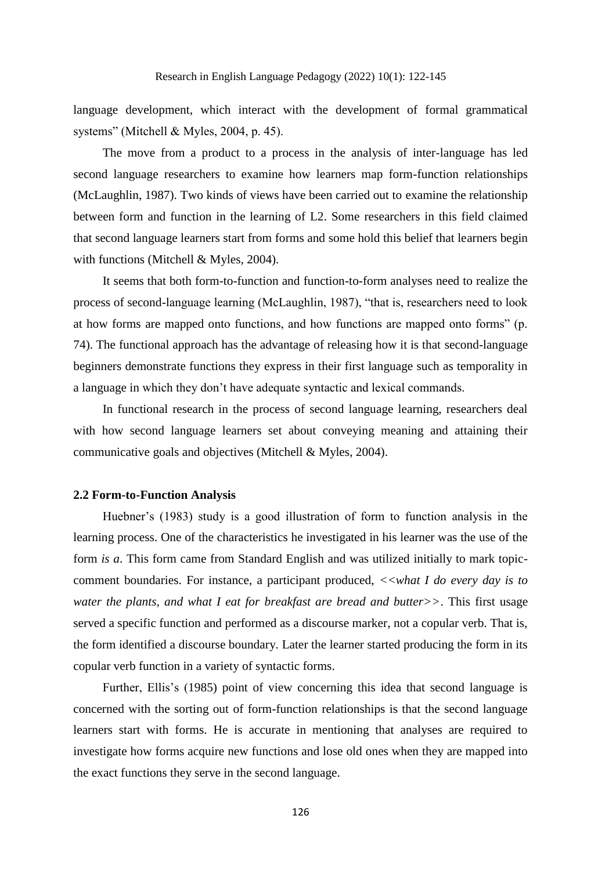language development, which interact with the development of formal grammatical systems" (Mitchell & Myles, 2004, p. 45).

The move from a product to a process in the analysis of inter-language has led second language researchers to examine how learners map form-function relationships (McLaughlin, 1987). Two kinds of views have been carried out to examine the relationship between form and function in the learning of L2. Some researchers in this field claimed that second language learners start from forms and some hold this belief that learners begin with functions (Mitchell & Myles, 2004).

It seems that both form-to-function and function-to-form analyses need to realize the process of second-language learning (McLaughlin, 1987), "that is, researchers need to look at how forms are mapped onto functions, and how functions are mapped onto forms" (p. 74). The functional approach has the advantage of releasing how it is that second-language beginners demonstrate functions they express in their first language such as temporality in a language in which they don't have adequate syntactic and lexical commands.

In functional research in the process of second language learning, researchers deal with how second language learners set about conveying meaning and attaining their communicative goals and objectives (Mitchell & Myles, 2004).

# **2.2 Form-to-Function Analysis**

Huebner's (1983) study is a good illustration of form to function analysis in the learning process. One of the characteristics he investigated in his learner was the use of the form *is a*. This form came from Standard English and was utilized initially to mark topiccomment boundaries. For instance, a participant produced, *<<what I do every day is to water the plants, and what I eat for breakfast are bread and butter>>*. This first usage served a specific function and performed as a discourse marker, not a copular verb. That is, the form identified a discourse boundary. Later the learner started producing the form in its copular verb function in a variety of syntactic forms.

Further, Ellis's (1985) point of view concerning this idea that second language is concerned with the sorting out of form-function relationships is that the second language learners start with forms. He is accurate in mentioning that analyses are required to investigate how forms acquire new functions and lose old ones when they are mapped into the exact functions they serve in the second language.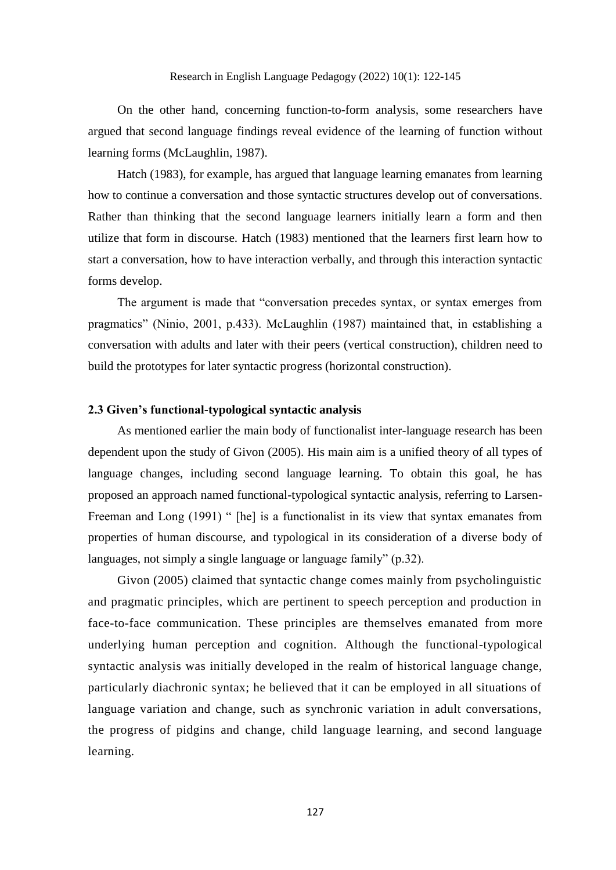On the other hand, concerning function-to-form analysis, some researchers have argued that second language findings reveal evidence of the learning of function without learning forms (McLaughlin, 1987).

Hatch (1983), for example, has argued that language learning emanates from learning how to continue a conversation and those syntactic structures develop out of conversations. Rather than thinking that the second language learners initially learn a form and then utilize that form in discourse. Hatch (1983) mentioned that the learners first learn how to start a conversation, how to have interaction verbally, and through this interaction syntactic forms develop.

The argument is made that "conversation precedes syntax, or syntax emerges from pragmatics" (Ninio, 2001, p.433). McLaughlin (1987) maintained that, in establishing a conversation with adults and later with their peers (vertical construction), children need to build the prototypes for later syntactic progress (horizontal construction).

# **2.3 Given's functional-typological syntactic analysis**

As mentioned earlier the main body of functionalist inter-language research has been dependent upon the study of Givon (2005). His main aim is a unified theory of all types of language changes, including second language learning. To obtain this goal, he has proposed an approach named functional-typological syntactic analysis, referring to Larsen-Freeman and Long (1991) " [he] is a functionalist in its view that syntax emanates from properties of human discourse, and typological in its consideration of a diverse body of languages, not simply a single language or language family" (p.32).

Givon (2005) claimed that syntactic change comes mainly from psycholinguistic and pragmatic principles, which are pertinent to speech perception and production in face-to-face communication. These principles are themselves emanated from more underlying human perception and cognition. Although the functional-typological syntactic analysis was initially developed in the realm of historical language change, particularly diachronic syntax; he believed that it can be employed in all situations of language variation and change, such as synchronic variation in adult conversations, the progress of pidgins and change, child language learning, and second language learning.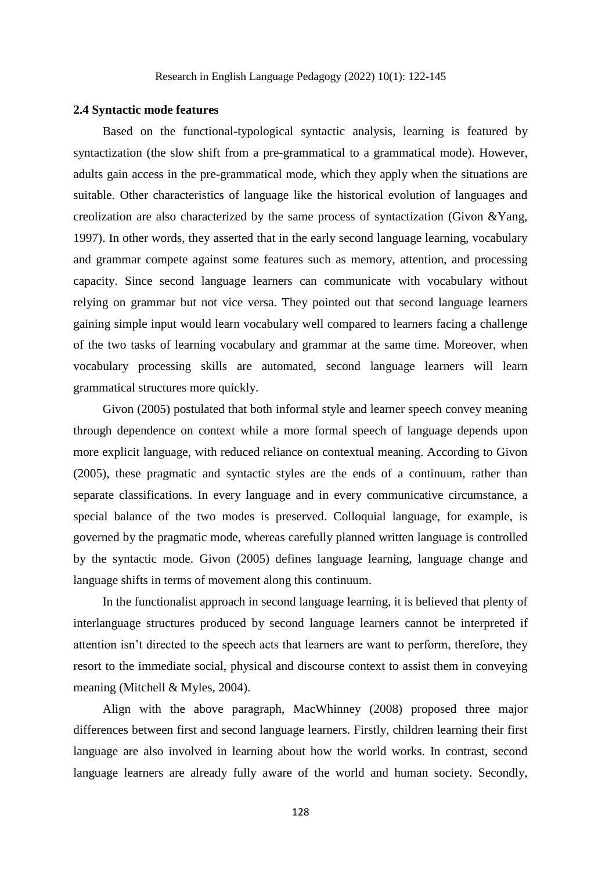# **2.4 Syntactic mode features**

Based on the functional-typological syntactic analysis, learning is featured by syntactization (the slow shift from a pre-grammatical to a grammatical mode). However, adults gain access in the pre-grammatical mode, which they apply when the situations are suitable. Other characteristics of language like the historical evolution of languages and creolization are also characterized by the same process of syntactization (Givon &Yang, 1997). In other words, they asserted that in the early second language learning, vocabulary and grammar compete against some features such as memory, attention, and processing capacity. Since second language learners can communicate with vocabulary without relying on grammar but not vice versa. They pointed out that second language learners gaining simple input would learn vocabulary well compared to learners facing a challenge of the two tasks of learning vocabulary and grammar at the same time. Moreover, when vocabulary processing skills are automated, second language learners will learn grammatical structures more quickly.

Givon (2005) postulated that both informal style and learner speech convey meaning through dependence on context while a more formal speech of language depends upon more explicit language, with reduced reliance on contextual meaning. According to Givon (2005), these pragmatic and syntactic styles are the ends of a continuum, rather than separate classifications. In every language and in every communicative circumstance, a special balance of the two modes is preserved. Colloquial language, for example, is governed by the pragmatic mode, whereas carefully planned written language is controlled by the syntactic mode. Givon (2005) defines language learning, language change and language shifts in terms of movement along this continuum.

In the functionalist approach in second language learning, it is believed that plenty of interlanguage structures produced by second language learners cannot be interpreted if attention isn't directed to the speech acts that learners are want to perform, therefore, they resort to the immediate social, physical and discourse context to assist them in conveying meaning (Mitchell & Myles, 2004).

Align with the above paragraph, MacWhinney (2008) proposed three major differences between first and second language learners. Firstly, children learning their first language are also involved in learning about how the world works. In contrast, second language learners are already fully aware of the world and human society. Secondly,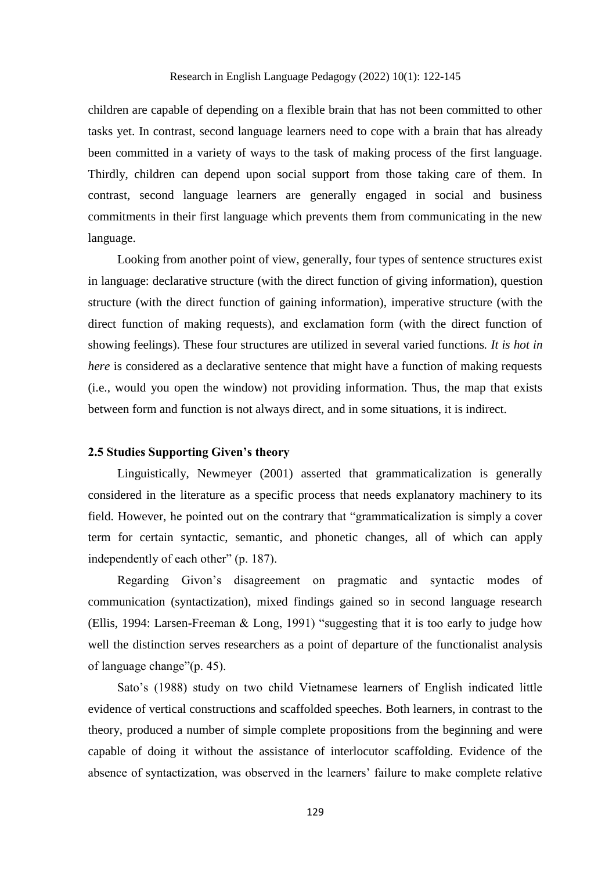children are capable of depending on a flexible brain that has not been committed to other tasks yet. In contrast, second language learners need to cope with a brain that has already been committed in a variety of ways to the task of making process of the first language. Thirdly, children can depend upon social support from those taking care of them. In contrast, second language learners are generally engaged in social and business commitments in their first language which prevents them from communicating in the new language.

Looking from another point of view, generally, four types of sentence structures exist in language: declarative structure (with the direct function of giving information), question structure (with the direct function of gaining information), imperative structure (with the direct function of making requests), and exclamation form (with the direct function of showing feelings). These four structures are utilized in several varied functions*. It is hot in here* is considered as a declarative sentence that might have a function of making requests (i.e., would you open the window) not providing information. Thus, the map that exists between form and function is not always direct, and in some situations, it is indirect.

# **2.5 Studies Supporting Given's theory**

Linguistically, Newmeyer (2001) asserted that grammaticalization is generally considered in the literature as a specific process that needs explanatory machinery to its field. However, he pointed out on the contrary that "grammaticalization is simply a cover term for certain syntactic, semantic, and phonetic changes, all of which can apply independently of each other" (p. 187).

Regarding Givon's disagreement on pragmatic and syntactic modes of communication (syntactization), mixed findings gained so in second language research (Ellis, 1994: Larsen-Freeman & Long, 1991) "suggesting that it is too early to judge how well the distinction serves researchers as a point of departure of the functionalist analysis of language change"(p. 45).

Sato's (1988) study on two child Vietnamese learners of English indicated little evidence of vertical constructions and scaffolded speeches. Both learners, in contrast to the theory, produced a number of simple complete propositions from the beginning and were capable of doing it without the assistance of interlocutor scaffolding. Evidence of the absence of syntactization, was observed in the learners' failure to make complete relative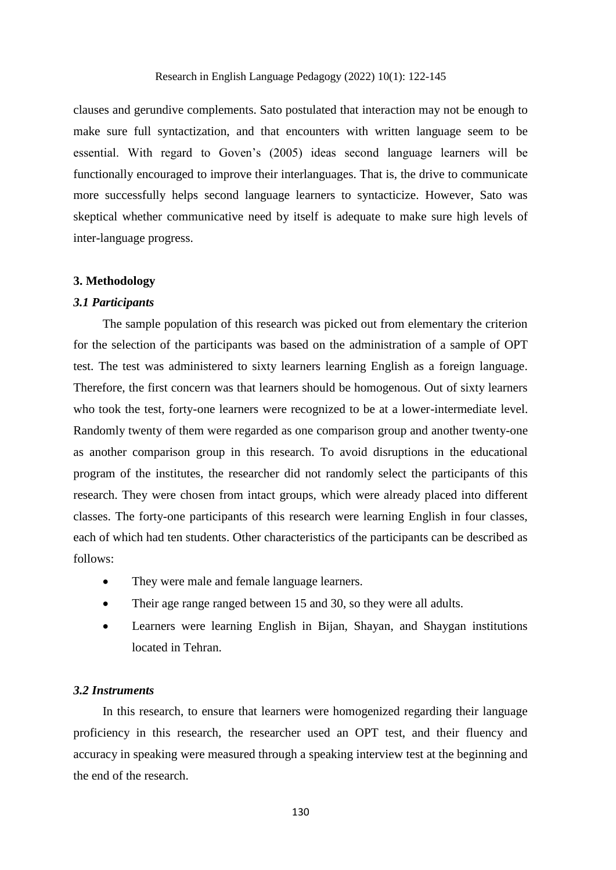# Research in English Language Pedagogy (2022) 10(1): 122-145

clauses and gerundive complements. Sato postulated that interaction may not be enough to make sure full syntactization, and that encounters with written language seem to be essential. With regard to Goven's (2005) ideas second language learners will be functionally encouraged to improve their interlanguages. That is, the drive to communicate more successfully helps second language learners to syntacticize. However, Sato was skeptical whether communicative need by itself is adequate to make sure high levels of inter-language progress.

# **3. Methodology**

# *3.1 Participants*

The sample population of this research was picked out from elementary the criterion for the selection of the participants was based on the administration of a sample of OPT test. The test was administered to sixty learners learning English as a foreign language. Therefore, the first concern was that learners should be homogenous. Out of sixty learners who took the test, forty-one learners were recognized to be at a lower-intermediate level. Randomly twenty of them were regarded as one comparison group and another twenty-one as another comparison group in this research. To avoid disruptions in the educational program of the institutes, the researcher did not randomly select the participants of this research. They were chosen from intact groups, which were already placed into different classes. The forty-one participants of this research were learning English in four classes, each of which had ten students. Other characteristics of the participants can be described as follows:

- They were male and female language learners.
- Their age range ranged between 15 and 30, so they were all adults.
- Learners were learning English in Bijan, Shayan, and Shaygan institutions located in Tehran.

#### *3.2 Instruments*

In this research, to ensure that learners were homogenized regarding their language proficiency in this research, the researcher used an OPT test, and their fluency and accuracy in speaking were measured through a speaking interview test at the beginning and the end of the research.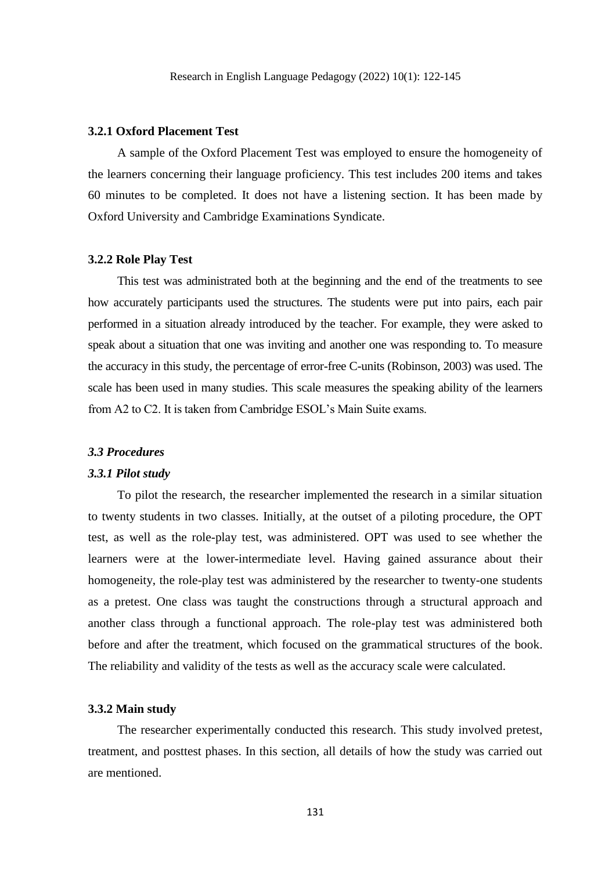# **3.2.1 Oxford Placement Test**

A sample of the Oxford Placement Test was employed to ensure the homogeneity of the learners concerning their language proficiency. This test includes 200 items and takes 60 minutes to be completed. It does not have a listening section. It has been made by Oxford University and Cambridge Examinations Syndicate.

# **3.2.2 Role Play Test**

This test was administrated both at the beginning and the end of the treatments to see how accurately participants used the structures. The students were put into pairs, each pair performed in a situation already introduced by the teacher. For example, they were asked to speak about a situation that one was inviting and another one was responding to. To measure the accuracy in this study, the percentage of error-free C-units (Robinson, 2003) was used. The scale has been used in many studies. This scale measures the speaking ability of the learners from A2 to C2. It is taken from Cambridge ESOL's Main Suite exams.

#### *3.3 Procedures*

#### *3.3.1 Pilot study*

To pilot the research, the researcher implemented the research in a similar situation to twenty students in two classes. Initially, at the outset of a piloting procedure, the OPT test, as well as the role-play test, was administered. OPT was used to see whether the learners were at the lower-intermediate level. Having gained assurance about their homogeneity, the role-play test was administered by the researcher to twenty-one students as a pretest. One class was taught the constructions through a structural approach and another class through a functional approach. The role-play test was administered both before and after the treatment, which focused on the grammatical structures of the book. The reliability and validity of the tests as well as the accuracy scale were calculated.

## **3.3.2 Main study**

The researcher experimentally conducted this research. This study involved pretest, treatment, and posttest phases. In this section, all details of how the study was carried out are mentioned.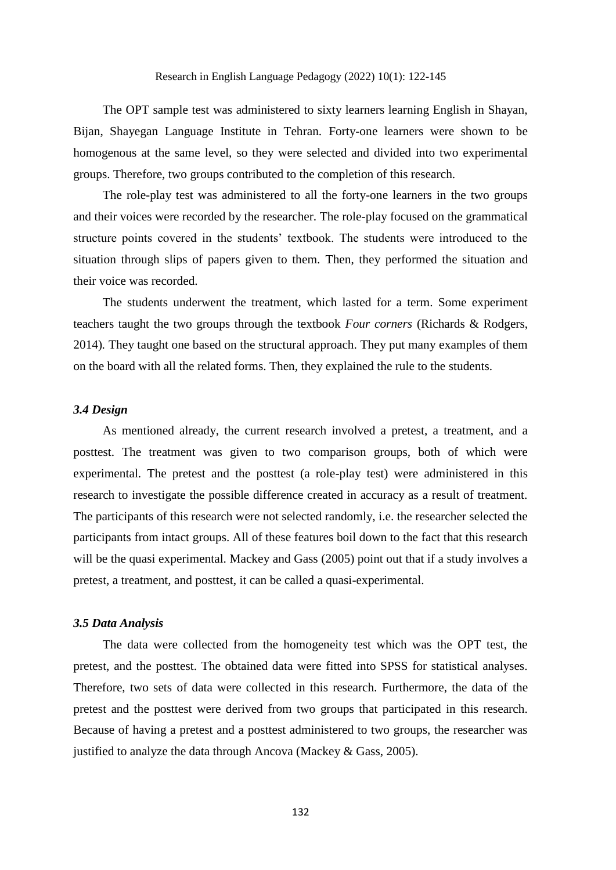The OPT sample test was administered to sixty learners learning English in Shayan, Bijan, Shayegan Language Institute in Tehran. Forty-one learners were shown to be homogenous at the same level, so they were selected and divided into two experimental groups. Therefore, two groups contributed to the completion of this research.

The role-play test was administered to all the forty-one learners in the two groups and their voices were recorded by the researcher. The role-play focused on the grammatical structure points covered in the students' textbook. The students were introduced to the situation through slips of papers given to them. Then, they performed the situation and their voice was recorded.

The students underwent the treatment, which lasted for a term. Some experiment teachers taught the two groups through the textbook *Four corners* (Richards & Rodgers, 2014)*.* They taught one based on the structural approach. They put many examples of them on the board with all the related forms. Then, they explained the rule to the students.

# *3.4 Design*

As mentioned already, the current research involved a pretest, a treatment, and a posttest. The treatment was given to two comparison groups, both of which were experimental. The pretest and the posttest (a role-play test) were administered in this research to investigate the possible difference created in accuracy as a result of treatment. The participants of this research were not selected randomly, i.e. the researcher selected the participants from intact groups. All of these features boil down to the fact that this research will be the quasi experimental. Mackey and Gass (2005) point out that if a study involves a pretest, a treatment, and posttest, it can be called a quasi-experimental.

#### *3.5 Data Analysis*

The data were collected from the homogeneity test which was the OPT test, the pretest, and the posttest. The obtained data were fitted into SPSS for statistical analyses. Therefore, two sets of data were collected in this research. Furthermore, the data of the pretest and the posttest were derived from two groups that participated in this research. Because of having a pretest and a posttest administered to two groups, the researcher was justified to analyze the data through Ancova (Mackey & Gass, 2005).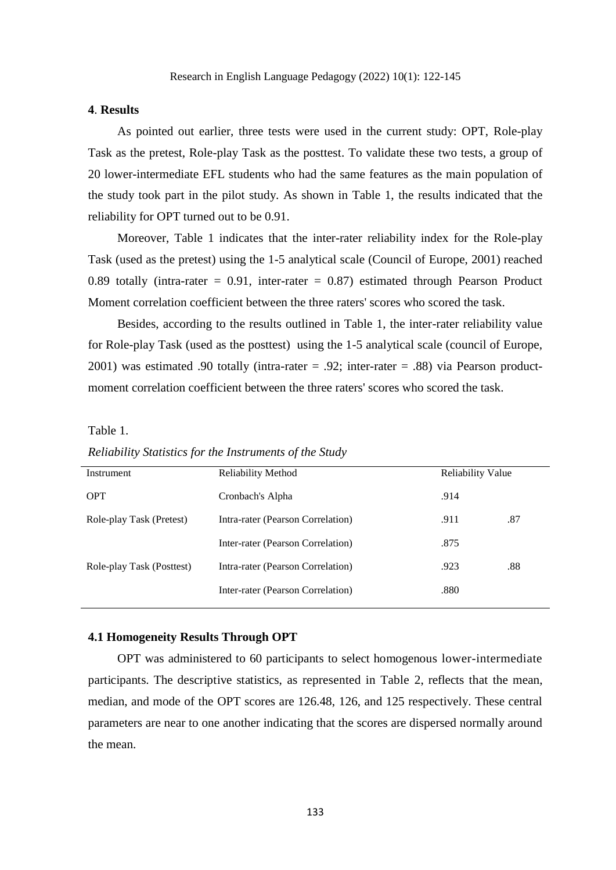# **4**. **Results**

As pointed out earlier, three tests were used in the current study: OPT, Role-play Task as the pretest, Role-play Task as the posttest. To validate these two tests, a group of 20 lower-intermediate EFL students who had the same features as the main population of the study took part in the pilot study. As shown in Table 1, the results indicated that the reliability for OPT turned out to be 0.91.

Moreover, Table 1 indicates that the inter-rater reliability index for the Role-play Task (used as the pretest) using the 1-5 analytical scale (Council of Europe, 2001) reached 0.89 totally (intra-rater  $= 0.91$ , inter-rater  $= 0.87$ ) estimated through Pearson Product Moment correlation coefficient between the three raters' scores who scored the task.

Besides, according to the results outlined in Table 1, the inter-rater reliability value for Role-play Task (used as the posttest) using the 1-5 analytical scale (council of Europe, 2001) was estimated .90 totally (intra-rater = .92; inter-rater = .88) via Pearson productmoment correlation coefficient between the three raters' scores who scored the task.

Table 1.

| Instrument                | <b>Reliability Method</b><br><b>Reliability Value</b> |      |     |
|---------------------------|-------------------------------------------------------|------|-----|
| <b>OPT</b>                | Cronbach's Alpha                                      | .914 |     |
| Role-play Task (Pretest)  | Intra-rater (Pearson Correlation)                     | .911 | .87 |
|                           | Inter-rater (Pearson Correlation)                     | .875 |     |
| Role-play Task (Posttest) | Intra-rater (Pearson Correlation)                     | .923 | .88 |
|                           | Inter-rater (Pearson Correlation)                     | .880 |     |
|                           |                                                       |      |     |

*Reliability Statistics for the Instruments of the Study*

#### **4.1 Homogeneity Results Through OPT**

OPT was administered to 60 participants to select homogenous lower-intermediate participants. The descriptive statistics, as represented in Table 2, reflects that the mean, median, and mode of the OPT scores are 126.48, 126, and 125 respectively. These central parameters are near to one another indicating that the scores are dispersed normally around the mean.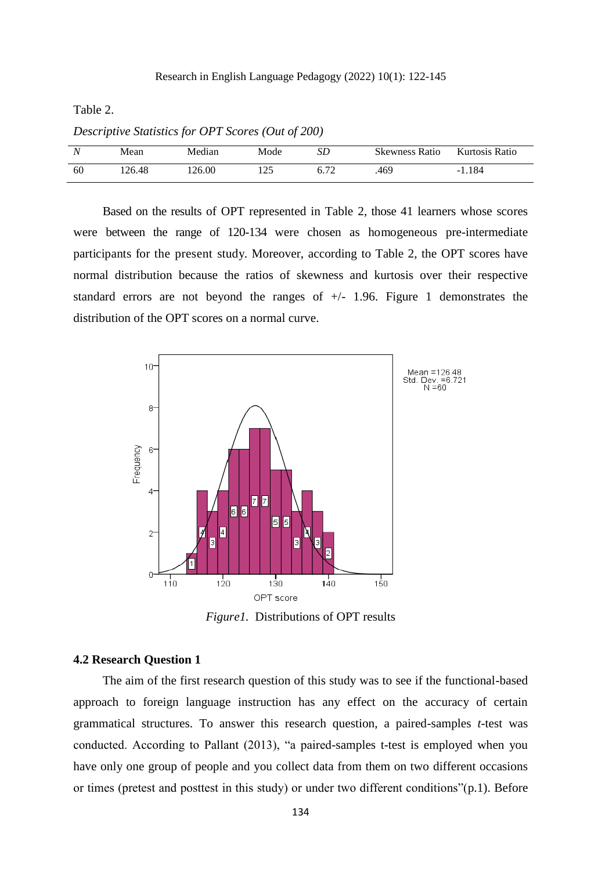Table 2.

| $D$ cscriptive blunshes for OI 1 beores (OM 0) 400) |        |        |      |    |                       |                |  |  |  |
|-----------------------------------------------------|--------|--------|------|----|-----------------------|----------------|--|--|--|
|                                                     | Mean   | Median | Mode | SD | <b>Skewness Ratio</b> | Kurtosis Ratio |  |  |  |
| -60                                                 | 126.48 | 126.00 | 125  |    | .469                  | $-1.184$       |  |  |  |

*Descriptive Statistics for OPT Scores (Out of 200)*

Based on the results of OPT represented in Table 2, those 41 learners whose scores were between the range of 120-134 were chosen as homogeneous pre-intermediate participants for the present study. Moreover, according to Table 2, the OPT scores have normal distribution because the ratios of skewness and kurtosis over their respective standard errors are not beyond the ranges of +/- 1.96. Figure 1 demonstrates the distribution of the OPT scores on a normal curve.



*Figure1.* Distributions of OPT results

# **4.2 Research Question 1**

The aim of the first research question of this study was to see if the functional-based approach to foreign language instruction has any effect on the accuracy of certain grammatical structures. To answer this research question, a paired-samples *t*-test was conducted. According to Pallant (2013), "a paired-samples t-test is employed when you have only one group of people and you collect data from them on two different occasions or times (pretest and posttest in this study) or under two different conditions"(p.1). Before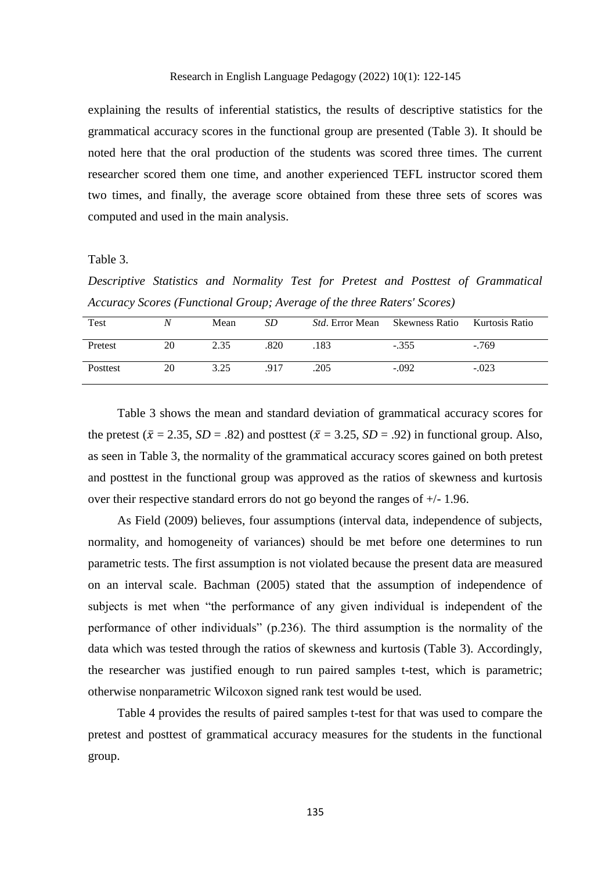explaining the results of inferential statistics, the results of descriptive statistics for the grammatical accuracy scores in the functional group are presented (Table 3). It should be noted here that the oral production of the students was scored three times. The current researcher scored them one time, and another experienced TEFL instructor scored them two times, and finally, the average score obtained from these three sets of scores was computed and used in the main analysis.

# Table 3.

*Descriptive Statistics and Normality Test for Pretest and Posttest of Grammatical Accuracy Scores (Functional Group; Average of the three Raters' Scores)*

| Test     |    | Mean | SD   | <i>Std.</i> Error Mean Skewness Ratio |         | Kurtosis Ratio |
|----------|----|------|------|---------------------------------------|---------|----------------|
| Pretest  | 20 | 2.35 | .820 | .183                                  | $-.355$ | $-769$         |
| Posttest | 20 | 3.25 | .917 | .205                                  | $-.092$ | $-.023$        |

Table 3 shows the mean and standard deviation of grammatical accuracy scores for the pretest ( $\bar{x} = 2.35$ ,  $SD = .82$ ) and posttest ( $\bar{x} = 3.25$ ,  $SD = .92$ ) in functional group. Also, as seen in Table 3, the normality of the grammatical accuracy scores gained on both pretest and posttest in the functional group was approved as the ratios of skewness and kurtosis over their respective standard errors do not go beyond the ranges of +/- 1.96.

As Field (2009) believes, four assumptions (interval data, independence of subjects, normality, and homogeneity of variances) should be met before one determines to run parametric tests. The first assumption is not violated because the present data are measured on an interval scale. Bachman (2005) stated that the assumption of independence of subjects is met when "the performance of any given individual is independent of the performance of other individuals" (p.236). The third assumption is the normality of the data which was tested through the ratios of skewness and kurtosis (Table 3). Accordingly, the researcher was justified enough to run paired samples t-test, which is parametric; otherwise nonparametric Wilcoxon signed rank test would be used.

Table 4 provides the results of paired samples t-test for that was used to compare the pretest and posttest of grammatical accuracy measures for the students in the functional group.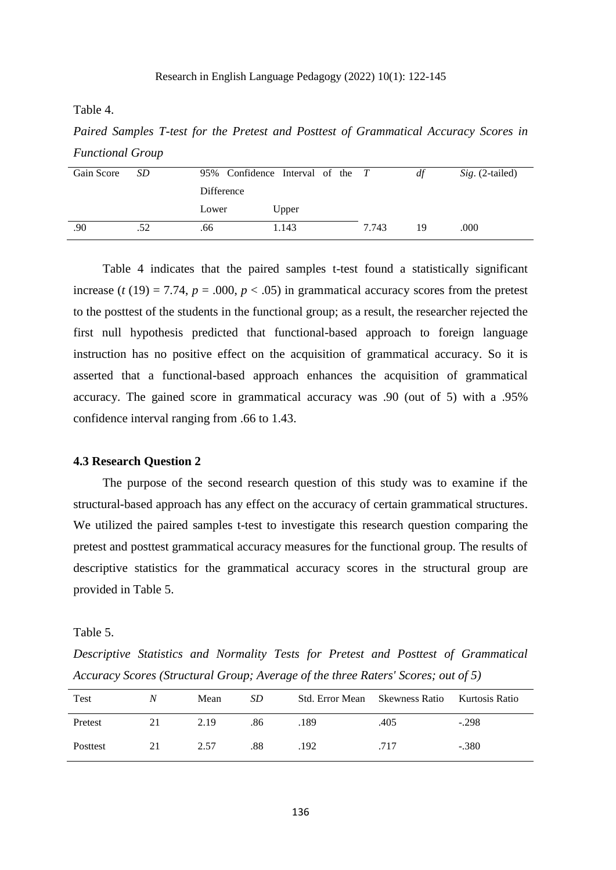Table 4.

*Paired Samples T-test for the Pretest and Posttest of Grammatical Accuracy Scores in Functional Group*

| Gain Score | SD. |            | 95% Confidence Interval of the T |       | df | <i>Sig.</i> (2-tailed) |
|------------|-----|------------|----------------------------------|-------|----|------------------------|
|            |     | Difference |                                  |       |    |                        |
|            |     | Lower      | Upper                            |       |    |                        |
| .90        | .52 | .66        | 1.143                            | 7.743 | 19 | .000                   |

Table 4 indicates that the paired samples t-test found a statistically significant increase ( $t(19) = 7.74$ ,  $p = .000$ ,  $p < .05$ ) in grammatical accuracy scores from the pretest to the posttest of the students in the functional group; as a result, the researcher rejected the first null hypothesis predicted that functional-based approach to foreign language instruction has no positive effect on the acquisition of grammatical accuracy. So it is asserted that a functional-based approach enhances the acquisition of grammatical accuracy. The gained score in grammatical accuracy was .90 (out of 5) with a .95% confidence interval ranging from .66 to 1.43.

#### **4.3 Research Question 2**

The purpose of the second research question of this study was to examine if the structural-based approach has any effect on the accuracy of certain grammatical structures. We utilized the paired samples t-test to investigate this research question comparing the pretest and posttest grammatical accuracy measures for the functional group. The results of descriptive statistics for the grammatical accuracy scores in the structural group are provided in Table 5.

Table 5.

*Descriptive Statistics and Normality Tests for Pretest and Posttest of Grammatical Accuracy Scores (Structural Group; Average of the three Raters' Scores; out of 5)*

| <b>Test</b> | Ν  | Mean | SD  | Std. Error Mean Skewness Ratio |      | Kurtosis Ratio |
|-------------|----|------|-----|--------------------------------|------|----------------|
| Pretest     | 21 | 2.19 | .86 | .189                           | .405 | $-.298$        |
| Posttest    | 21 | 2.57 | .88 | .192                           | .717 | $-.380$        |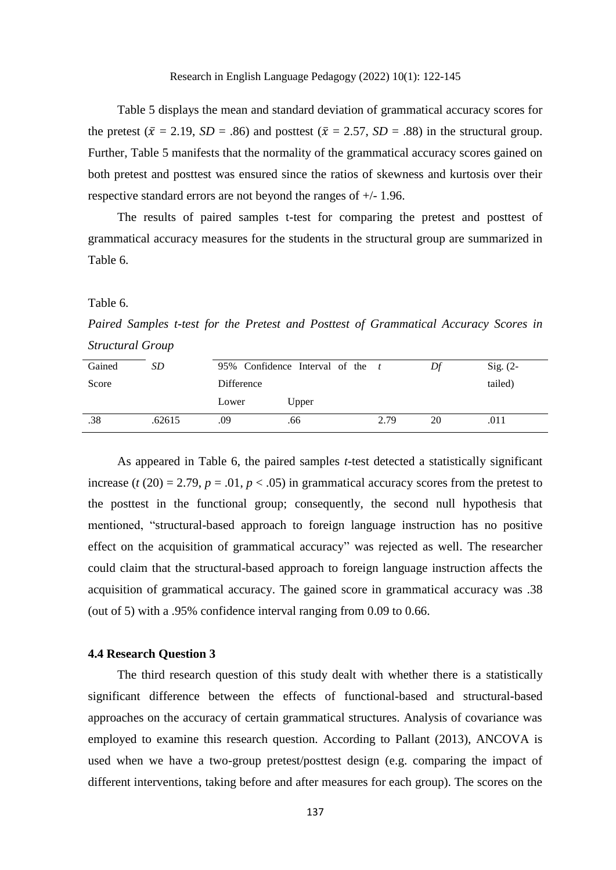Table 5 displays the mean and standard deviation of grammatical accuracy scores for the pretest ( $\bar{x} = 2.19$ ,  $SD = .86$ ) and posttest ( $\bar{x} = 2.57$ ,  $SD = .88$ ) in the structural group. Further, Table 5 manifests that the normality of the grammatical accuracy scores gained on both pretest and posttest was ensured since the ratios of skewness and kurtosis over their respective standard errors are not beyond the ranges of +/- 1.96.

The results of paired samples t-test for comparing the pretest and posttest of grammatical accuracy measures for the students in the structural group are summarized in Table 6.

Table 6.

*Paired Samples t-test for the Pretest and Posttest of Grammatical Accuracy Scores in Structural Group*

| Gained | SD.    |            | 95% Confidence Interval of the $t$ |      | Df | $Sig. (2-$ |  |  |
|--------|--------|------------|------------------------------------|------|----|------------|--|--|
| Score  |        | Difference |                                    |      |    |            |  |  |
|        |        | Lower      | Upper                              |      |    |            |  |  |
| .38    | .62615 | .09        | .66                                | 2.79 | 20 | .011       |  |  |

As appeared in Table 6, the paired samples *t*-test detected a statistically significant increase ( $t$  (20) = 2.79,  $p = .01$ ,  $p < .05$ ) in grammatical accuracy scores from the pretest to the posttest in the functional group; consequently, the second null hypothesis that mentioned, "structural-based approach to foreign language instruction has no positive effect on the acquisition of grammatical accuracy" was rejected as well. The researcher could claim that the structural-based approach to foreign language instruction affects the acquisition of grammatical accuracy. The gained score in grammatical accuracy was .38 (out of 5) with a .95% confidence interval ranging from 0.09 to 0.66.

#### **4.4 Research Question 3**

The third research question of this study dealt with whether there is a statistically significant difference between the effects of functional-based and structural-based approaches on the accuracy of certain grammatical structures. Analysis of covariance was employed to examine this research question. According to Pallant (2013), ANCOVA is used when we have a two-group pretest/posttest design (e.g. comparing the impact of different interventions, taking before and after measures for each group). The scores on the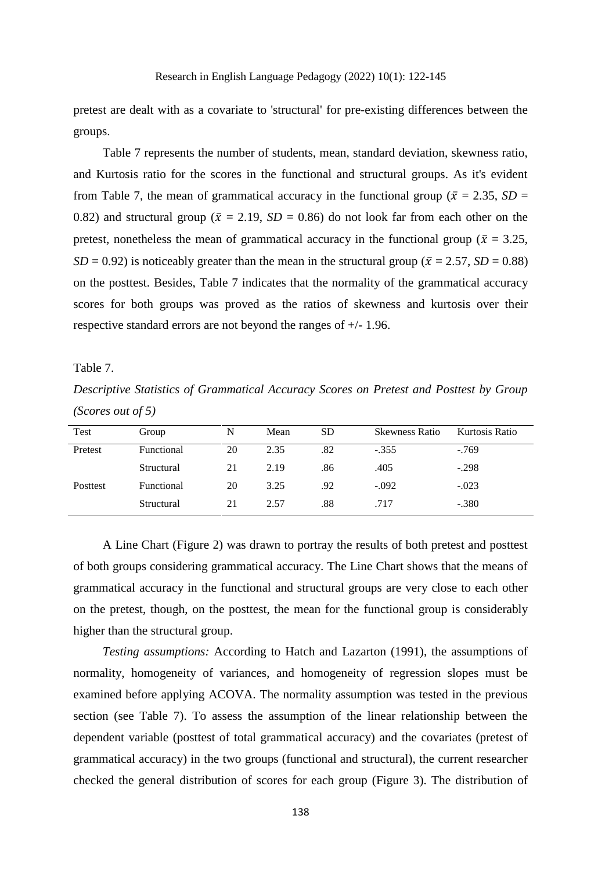pretest are dealt with as a covariate to 'structural' for pre-existing differences between the groups.

Table 7 represents the number of students, mean, standard deviation, skewness ratio, and Kurtosis ratio for the scores in the functional and structural groups. As it's evident from Table 7, the mean of grammatical accuracy in the functional group ( $\bar{x} = 2.35$ , *SD* = 0.82) and structural group ( $\bar{x} = 2.19$ ,  $SD = 0.86$ ) do not look far from each other on the pretest, nonetheless the mean of grammatical accuracy in the functional group ( $\bar{x} = 3.25$ , *SD* = 0.92) is noticeably greater than the mean in the structural group ( $\bar{x}$  = 2.57, *SD* = 0.88) on the posttest. Besides, Table 7 indicates that the normality of the grammatical accuracy scores for both groups was proved as the ratios of skewness and kurtosis over their respective standard errors are not beyond the ranges of +/- 1.96.

# Table 7.

*Descriptive Statistics of Grammatical Accuracy Scores on Pretest and Posttest by Group (Scores out of 5)*

| Test     | Group      | N  | Mean | <b>SD</b> | <b>Skewness Ratio</b> | Kurtosis Ratio |
|----------|------------|----|------|-----------|-----------------------|----------------|
| Pretest  | Functional | 20 | 2.35 | .82       | $-.355$               | $-769$         |
|          | Structural | 21 | 2.19 | .86       | .405                  | $-.298$        |
| Posttest | Functional | 20 | 3.25 | .92       | $-.092$               | $-.023$        |
|          | Structural | 21 | 2.57 | .88       | .717                  | $-.380$        |

A Line Chart (Figure 2) was drawn to portray the results of both pretest and posttest of both groups considering grammatical accuracy. The Line Chart shows that the means of grammatical accuracy in the functional and structural groups are very close to each other on the pretest, though, on the posttest, the mean for the functional group is considerably higher than the structural group.

*Testing assumptions:* According to Hatch and Lazarton (1991), the assumptions of normality, homogeneity of variances, and homogeneity of regression slopes must be examined before applying ACOVA. The normality assumption was tested in the previous section (see Table 7). To assess the assumption of the linear relationship between the dependent variable (posttest of total grammatical accuracy) and the covariates (pretest of grammatical accuracy) in the two groups (functional and structural), the current researcher checked the general distribution of scores for each group (Figure 3). The distribution of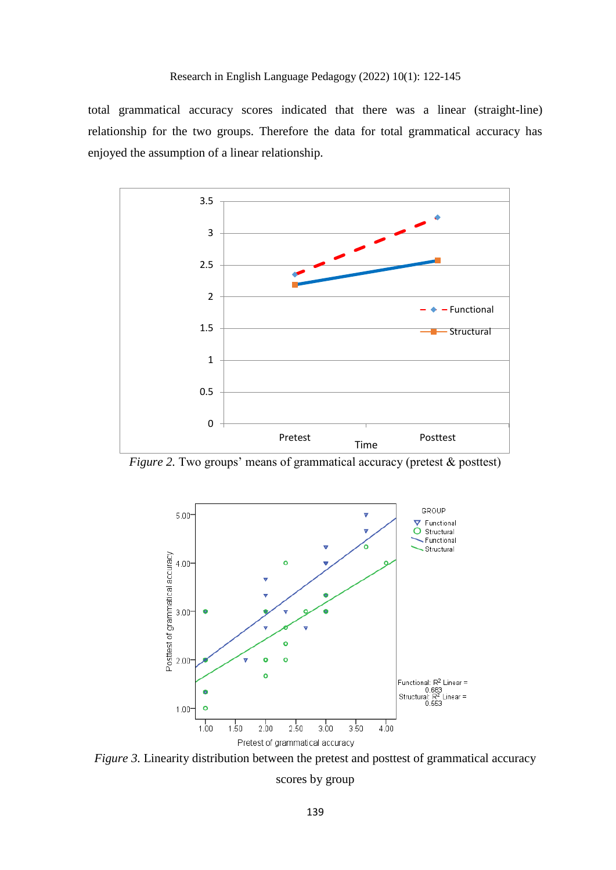total grammatical accuracy scores indicated that there was a linear (straight-line) relationship for the two groups. Therefore the data for total grammatical accuracy has enjoyed the assumption of a linear relationship.



*Figure 2.* Two groups' means of grammatical accuracy (pretest & posttest)



*Figure 3.* Linearity distribution between the pretest and posttest of grammatical accuracy scores by group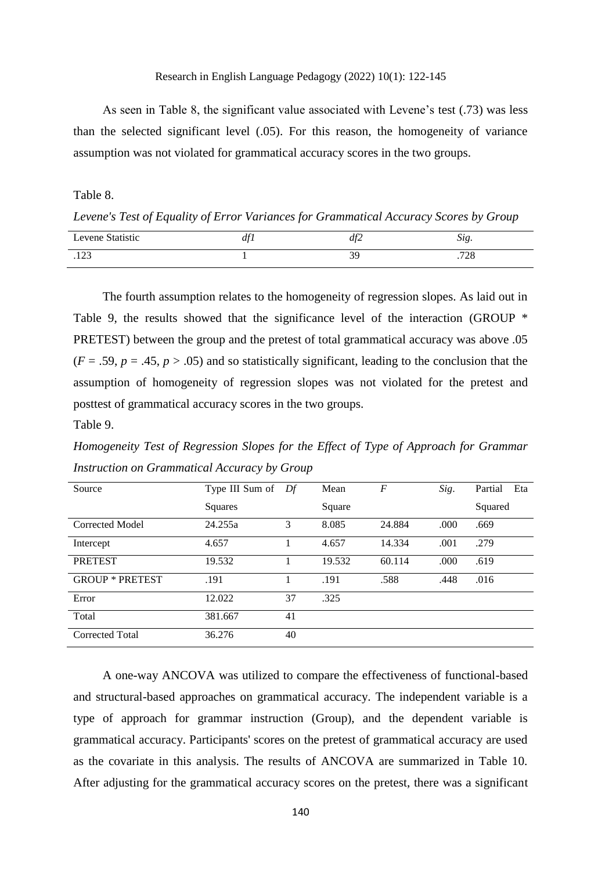# Research in English Language Pedagogy (2022) 10(1): 122-145

As seen in Table 8, the significant value associated with Levene's test (.73) was less than the selected significant level (.05). For this reason, the homogeneity of variance assumption was not violated for grammatical accuracy scores in the two groups.

Table 8.

*Levene's Test of Equality of Error Variances for Grammatical Accuracy Scores by Group*

| Levene Statistic | 101<br>$\mu$ | df2 | r.<br>. . A<br>ມເຂ. |
|------------------|--------------|-----|---------------------|
| 122              |              | າດ  | 700                 |
| ر∠ 1.            |              | ر ب | 120                 |

The fourth assumption relates to the homogeneity of regression slopes. As laid out in Table 9, the results showed that the significance level of the interaction (GROUP  $*$ PRETEST) between the group and the pretest of total grammatical accuracy was above .05  $(F = .59, p = .45, p > .05)$  and so statistically significant, leading to the conclusion that the assumption of homogeneity of regression slopes was not violated for the pretest and posttest of grammatical accuracy scores in the two groups.

Table 9.

*Homogeneity Test of Regression Slopes for the Effect of Type of Approach for Grammar Instruction on Grammatical Accuracy by Group*

| Source                 | Type III Sum of | Df | Mean   | $\overline{F}$ | Sig. | Eta<br>Partial |
|------------------------|-----------------|----|--------|----------------|------|----------------|
|                        | Squares         |    | Square |                |      | Squared        |
| Corrected Model        | 24.255a         | 3  | 8.085  | 24.884         | .000 | .669           |
| Intercept              | 4.657           |    | 4.657  | 14.334         | .001 | .279           |
| <b>PRETEST</b>         | 19.532          |    | 19.532 | 60.114         | .000 | .619           |
| <b>GROUP * PRETEST</b> | .191            |    | .191   | .588           | .448 | .016           |
| Error                  | 12.022          | 37 | .325   |                |      |                |
| Total                  | 381.667         | 41 |        |                |      |                |
| <b>Corrected Total</b> | 36.276          | 40 |        |                |      |                |

A one-way ANCOVA was utilized to compare the effectiveness of functional-based and structural-based approaches on grammatical accuracy. The independent variable is a type of approach for grammar instruction (Group), and the dependent variable is grammatical accuracy. Participants' scores on the pretest of grammatical accuracy are used as the covariate in this analysis. The results of ANCOVA are summarized in Table 10. After adjusting for the grammatical accuracy scores on the pretest, there was a significant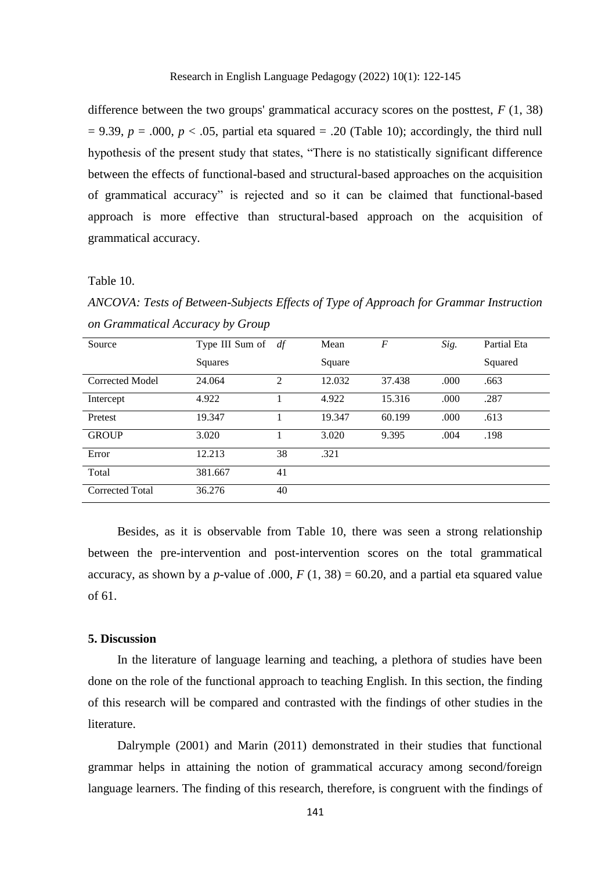difference between the two groups' grammatical accuracy scores on the posttest,  $F(1, 38)$  $= 9.39$ ,  $p = .000$ ,  $p < .05$ , partial eta squared  $= .20$  (Table 10); accordingly, the third null hypothesis of the present study that states, "There is no statistically significant difference between the effects of functional-based and structural-based approaches on the acquisition of grammatical accuracy" is rejected and so it can be claimed that functional-based approach is more effective than structural-based approach on the acquisition of grammatical accuracy.

Table 10.

*ANCOVA: Tests of Between-Subjects Effects of Type of Approach for Grammar Instruction on Grammatical Accuracy by Group*

| Source                 | Type III Sum of | df | Mean   | $\boldsymbol{F}$ | Sig. | Partial Eta |
|------------------------|-----------------|----|--------|------------------|------|-------------|
|                        | Squares         |    | Square |                  |      | Squared     |
| <b>Corrected Model</b> | 24.064          | 2  | 12.032 | 37.438           | .000 | .663        |
| Intercept              | 4.922           |    | 4.922  | 15.316           | .000 | .287        |
| Pretest                | 19.347          |    | 19.347 | 60.199           | .000 | .613        |
| <b>GROUP</b>           | 3.020           |    | 3.020  | 9.395            | .004 | .198        |
| Error                  | 12.213          | 38 | .321   |                  |      |             |
| Total                  | 381.667         | 41 |        |                  |      |             |
| <b>Corrected Total</b> | 36.276          | 40 |        |                  |      |             |

Besides, as it is observable from Table 10, there was seen a strong relationship between the pre-intervention and post-intervention scores on the total grammatical accuracy, as shown by a *p*-value of .000,  $F(1, 38) = 60.20$ , and a partial eta squared value of 61.

# **5. Discussion**

In the literature of language learning and teaching, a plethora of studies have been done on the role of the functional approach to teaching English. In this section, the finding of this research will be compared and contrasted with the findings of other studies in the literature.

Dalrymple (2001) and Marin (2011) demonstrated in their studies that functional grammar helps in attaining the notion of grammatical accuracy among second/foreign language learners. The finding of this research, therefore, is congruent with the findings of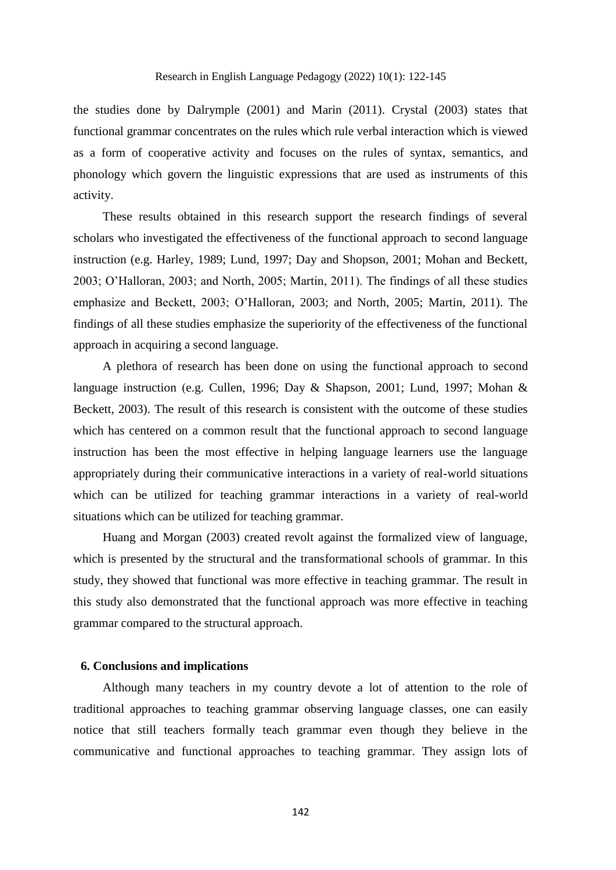the studies done by Dalrymple (2001) and Marin (2011). Crystal (2003) states that functional grammar concentrates on the rules which rule verbal interaction which is viewed as a form of cooperative activity and focuses on the rules of syntax, semantics, and phonology which govern the linguistic expressions that are used as instruments of this activity.

These results obtained in this research support the research findings of several scholars who investigated the effectiveness of the functional approach to second language instruction (e.g. Harley, 1989; Lund, 1997; Day and Shopson, 2001; Mohan and Beckett, 2003; O'Halloran, 2003; and North, 2005; Martin, 2011). The findings of all these studies emphasize and Beckett, 2003; O'Halloran, 2003; and North, 2005; Martin, 2011). The findings of all these studies emphasize the superiority of the effectiveness of the functional approach in acquiring a second language.

A plethora of research has been done on using the functional approach to second language instruction (e.g. Cullen, 1996; Day & Shapson, 2001; Lund, 1997; Mohan & Beckett, 2003). The result of this research is consistent with the outcome of these studies which has centered on a common result that the functional approach to second language instruction has been the most effective in helping language learners use the language appropriately during their communicative interactions in a variety of real-world situations which can be utilized for teaching grammar interactions in a variety of real-world situations which can be utilized for teaching grammar.

Huang and Morgan (2003) created revolt against the formalized view of language, which is presented by the structural and the transformational schools of grammar. In this study, they showed that functional was more effective in teaching grammar. The result in this study also demonstrated that the functional approach was more effective in teaching grammar compared to the structural approach.

# **6. Conclusions and implications**

Although many teachers in my country devote a lot of attention to the role of traditional approaches to teaching grammar observing language classes, one can easily notice that still teachers formally teach grammar even though they believe in the communicative and functional approaches to teaching grammar. They assign lots of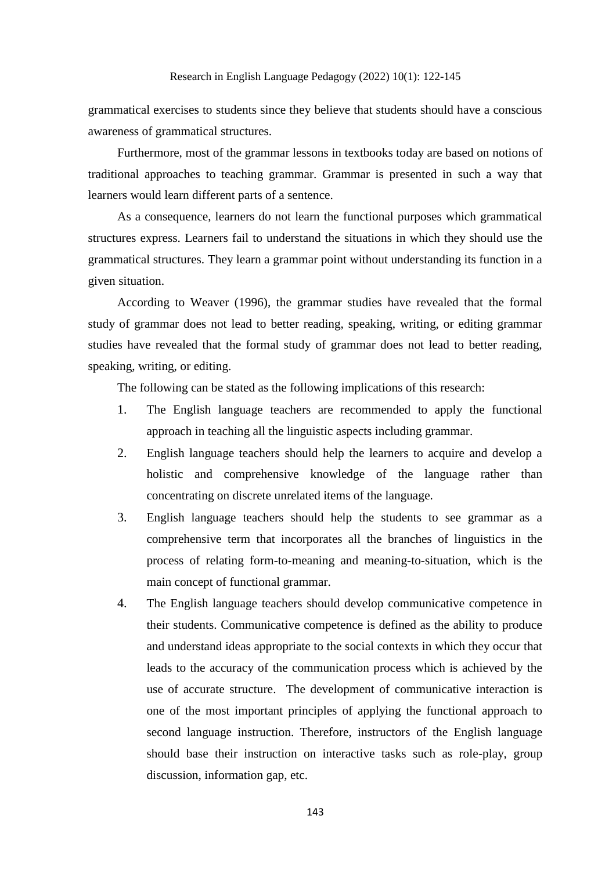grammatical exercises to students since they believe that students should have a conscious awareness of grammatical structures.

Furthermore, most of the grammar lessons in textbooks today are based on notions of traditional approaches to teaching grammar. Grammar is presented in such a way that learners would learn different parts of a sentence.

As a consequence, learners do not learn the functional purposes which grammatical structures express. Learners fail to understand the situations in which they should use the grammatical structures. They learn a grammar point without understanding its function in a given situation.

According to Weaver (1996), the grammar studies have revealed that the formal study of grammar does not lead to better reading, speaking, writing, or editing grammar studies have revealed that the formal study of grammar does not lead to better reading, speaking, writing, or editing.

The following can be stated as the following implications of this research:

- 1. The English language teachers are recommended to apply the functional approach in teaching all the linguistic aspects including grammar.
- 2. English language teachers should help the learners to acquire and develop a holistic and comprehensive knowledge of the language rather than concentrating on discrete unrelated items of the language.
- 3. English language teachers should help the students to see grammar as a comprehensive term that incorporates all the branches of linguistics in the process of relating form-to-meaning and meaning-to-situation, which is the main concept of functional grammar.
- 4. The English language teachers should develop communicative competence in their students. Communicative competence is defined as the ability to produce and understand ideas appropriate to the social contexts in which they occur that leads to the accuracy of the communication process which is achieved by the use of accurate structure. The development of communicative interaction is one of the most important principles of applying the functional approach to second language instruction. Therefore, instructors of the English language should base their instruction on interactive tasks such as role-play, group discussion, information gap, etc.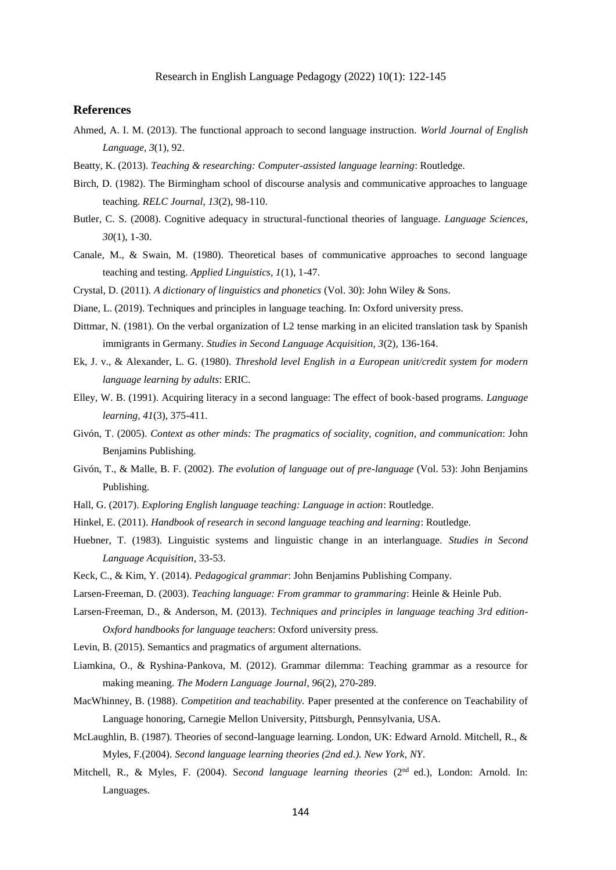# Research in English Language Pedagogy (2022) 10(1): 122-145

# **References**

- Ahmed, A. I. M. (2013). The functional approach to second language instruction. *World Journal of English Language, 3*(1), 92.
- Beatty, K. (2013). *Teaching & researching: Computer-assisted language learning*: Routledge.
- Birch, D. (1982). The Birmingham school of discourse analysis and communicative approaches to language teaching. *RELC Journal, 13*(2), 98-110.
- Butler, C. S. (2008). Cognitive adequacy in structural-functional theories of language. *Language Sciences, 30*(1), 1-30.
- Canale, M., & Swain, M. (1980). Theoretical bases of communicative approaches to second language teaching and testing. *Applied Linguistics, 1*(1), 1-47.

Crystal, D. (2011). *A dictionary of linguistics and phonetics* (Vol. 30): John Wiley & Sons.

- Diane, L. (2019). Techniques and principles in language teaching. In: Oxford university press.
- Dittmar, N. (1981). On the verbal organization of L2 tense marking in an elicited translation task by Spanish immigrants in Germany. *Studies in Second Language Acquisition, 3*(2), 136-164.
- Ek, J. v., & Alexander, L. G. (1980). *Threshold level English in a European unit/credit system for modern language learning by adults*: ERIC.
- Elley, W. B. (1991). Acquiring literacy in a second language: The effect of book‐based programs. *Language learning, 41*(3), 375-411.
- Givón, T. (2005). *Context as other minds: The pragmatics of sociality, cognition, and communication*: John Benjamins Publishing.
- Givón, T., & Malle, B. F. (2002). *The evolution of language out of pre-language* (Vol. 53): John Benjamins Publishing.
- Hall, G. (2017). *Exploring English language teaching: Language in action*: Routledge.
- Hinkel, E. (2011). *Handbook of research in second language teaching and learning*: Routledge.
- Huebner, T. (1983). Linguistic systems and linguistic change in an interlanguage. *Studies in Second Language Acquisition*, 33-53.
- Keck, C., & Kim, Y. (2014). *Pedagogical grammar*: John Benjamins Publishing Company.
- Larsen-Freeman, D. (2003). *Teaching language: From grammar to grammaring*: Heinle & Heinle Pub.
- Larsen-Freeman, D., & Anderson, M. (2013). *Techniques and principles in language teaching 3rd edition-Oxford handbooks for language teachers*: Oxford university press.
- Levin, B. (2015). Semantics and pragmatics of argument alternations.
- Liamkina, O., & Ryshina‐Pankova, M. (2012). Grammar dilemma: Teaching grammar as a resource for making meaning. *The Modern Language Journal, 96*(2), 270-289.
- MacWhinney, B. (1988). *Competition and teachability.* Paper presented at the conference on Teachability of Language honoring, Carnegie Mellon University, Pittsburgh, Pennsylvania, USA.
- McLaughlin, B. (1987). Theories of second-language learning. London, UK: Edward Arnold. Mitchell, R., & Myles, F.(2004). *Second language learning theories (2nd ed.). New York, NY*.
- Mitchell, R., & Myles, F. (2004). S*econd language learning theories* (2nd ed.), London: Arnold. In: Languages.